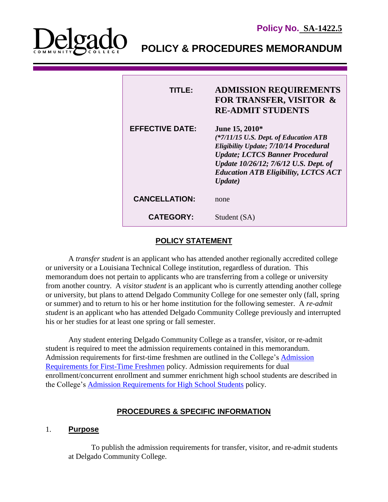

I

**POLICY & PROCEDURES MEMORANDUM**

| TITI E:                | <b>ADMISSION REQUIREMENTS</b><br><b>FOR TRANSFER, VISITOR &amp;</b><br><b>RE-ADMIT STUDENTS</b>                                                                                                                                                |
|------------------------|------------------------------------------------------------------------------------------------------------------------------------------------------------------------------------------------------------------------------------------------|
| <b>EFFECTIVE DATE:</b> | June 15, 2010*<br>(*7/11/15 U.S. Dept. of Education ATB<br>Eligibility Update; 7/10/14 Procedural<br><b>Update; LCTCS Banner Procedural</b><br>Update 10/26/12; 7/6/12 U.S. Dept. of<br><b>Education ATB Eligibility, LCTCS ACT</b><br>Update) |
| <b>CANCELLATION:</b>   | none                                                                                                                                                                                                                                           |
| <b>CATEGORY:</b>       | Student (SA)                                                                                                                                                                                                                                   |

# **POLICY STATEMENT**

A *transfer student* is an applicant who has attended another regionally accredited college or university or a Louisiana Technical College institution, regardless of duration. This memorandum does not pertain to applicants who are transferring from a college or university from another country. A *visitor student* is an applicant who is currently attending another college or university, but plans to attend Delgado Community College for one semester only (fall, spring or summer) and to return to his or her home institution for the following semester. A *re-admit student* is an applicant who has attended Delgado Community College previously and interrupted his or her studies for at least one spring or fall semester.

Any student entering Delgado Community College as a transfer, visitor, or re-admit student is required to meet the admission requirements contained in this memorandum. Admission requirements for first-time freshmen are outlined in the College's [Admission](http://docushare3.dcc.edu/docushare/dsweb/Get/Document-76)  [Requirements for First-Time Freshmen](http://docushare3.dcc.edu/docushare/dsweb/Get/Document-76) policy. Admission requirements for dual enrollment/concurrent enrollment and summer enrichment high school students are described in the College's [Admission Requirements for High School Students](http://docushare3.dcc.edu/docushare/dsweb/Get/Document-3923/1422-6+for+web+distribution.pdf) policy.

## **PROCEDURES & SPECIFIC INFORMATION**

#### 1. **Purpose**

To publish the admission requirements for transfer, visitor, and re-admit students at Delgado Community College.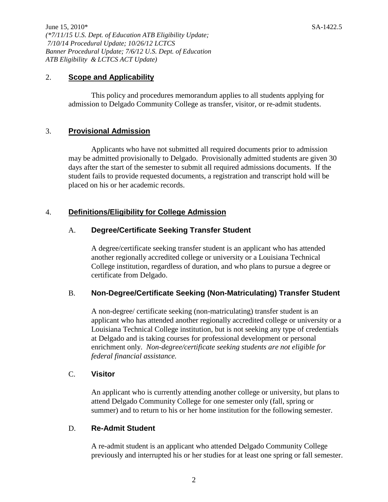June 15, 2010\* SA-1422.5 *(\*7/11/15 U.S. Dept. of Education ATB Eligibility Update; 7/10/14 Procedural Update; 10/26/12 LCTCS Banner Procedural Update; 7/6/12 U.S. Dept. of Education ATB Eligibility & LCTCS ACT Update)*

#### 2. **Scope and Applicability**

This policy and procedures memorandum applies to all students applying for admission to Delgado Community College as transfer, visitor, or re-admit students.

### 3. **Provisional Admission**

Applicants who have not submitted all required documents prior to admission may be admitted provisionally to Delgado. Provisionally admitted students are given 30 days after the start of the semester to submit all required admissions documents. If the student fails to provide requested documents, a registration and transcript hold will be placed on his or her academic records.

### 4. **Definitions/Eligibility for College Admission**

### A. **Degree/Certificate Seeking Transfer Student**

A degree/certificate seeking transfer student is an applicant who has attended another regionally accredited college or university or a Louisiana Technical College institution, regardless of duration, and who plans to pursue a degree or certificate from Delgado.

#### B. **Non-Degree/Certificate Seeking (Non-Matriculating) Transfer Student**

A non-degree/ certificate seeking (non-matriculating) transfer student is an applicant who has attended another regionally accredited college or university or a Louisiana Technical College institution, but is not seeking any type of credentials at Delgado and is taking courses for professional development or personal enrichment only. *Non-degree/certificate seeking students are not eligible for federal financial assistance.*

#### C. **Visitor**

An applicant who is currently attending another college or university, but plans to attend Delgado Community College for one semester only (fall, spring or summer) and to return to his or her home institution for the following semester.

#### D. **Re-Admit Student**

A re-admit student is an applicant who attended Delgado Community College previously and interrupted his or her studies for at least one spring or fall semester.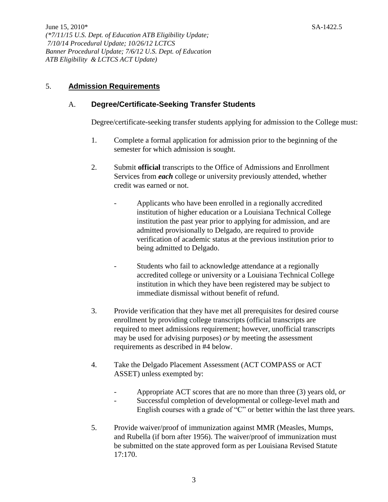# 5. **Admission Requirements**

## A. **Degree/Certificate-Seeking Transfer Students**

Degree/certificate-seeking transfer students applying for admission to the College must:

- 1. Complete a formal application for admission prior to the beginning of the semester for which admission is sought.
- 2. Submit **official** transcripts to the Office of Admissions and Enrollment Services from *each* college or university previously attended, whether credit was earned or not.
	- Applicants who have been enrolled in a regionally accredited institution of higher education or a Louisiana Technical College institution the past year prior to applying for admission, and are admitted provisionally to Delgado, are required to provide verification of academic status at the previous institution prior to being admitted to Delgado.
	- Students who fail to acknowledge attendance at a regionally accredited college or university or a Louisiana Technical College institution in which they have been registered may be subject to immediate dismissal without benefit of refund.
- 3. Provide verification that they have met all prerequisites for desired course enrollment by providing college transcripts (official transcripts are required to meet admissions requirement; however, unofficial transcripts may be used for advising purposes) *or* by meeting the assessment requirements as described in #4 below.
- 4. Take the Delgado Placement Assessment (ACT COMPASS or ACT ASSET) unless exempted by:
	- Appropriate ACT scores that are no more than three (3) years old, *or*
	- Successful completion of developmental or college-level math and English courses with a grade of "C" or better within the last three years.
- 5. Provide waiver/proof of immunization against MMR (Measles, Mumps, and Rubella (if born after 1956). The waiver/proof of immunization must be submitted on the state approved form as per Louisiana Revised Statute 17:170.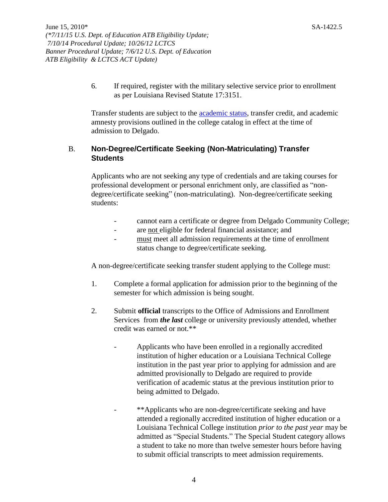6. If required, register with the military selective service prior to enrollment as per Louisiana Revised Statute 17:3151.

Transfer students are subject to the [academic status,](http://docushare3.dcc.edu/docushare/dsweb/Get/Document-2785) transfer credit, and academic amnesty provisions outlined in the college catalog in effect at the time of admission to Delgado.

## B. **Non-Degree/Certificate Seeking (Non-Matriculating) Transfer Students**

Applicants who are not seeking any type of credentials and are taking courses for professional development or personal enrichment only, are classified as "nondegree/certificate seeking" (non-matriculating). Non-degree/certificate seeking students:

- cannot earn a certificate or degree from Delgado Community College;
- are not eligible for federal financial assistance; and
- must meet all admission requirements at the time of enrollment status change to degree/certificate seeking.

A non-degree/certificate seeking transfer student applying to the College must:

- 1. Complete a formal application for admission prior to the beginning of the semester for which admission is being sought.
- 2. Submit **official** transcripts to the Office of Admissions and Enrollment Services from *the last* college or university previously attended, whether credit was earned or not.\*\*
	- Applicants who have been enrolled in a regionally accredited institution of higher education or a Louisiana Technical College institution in the past year prior to applying for admission and are admitted provisionally to Delgado are required to provide verification of academic status at the previous institution prior to being admitted to Delgado.
	- \*\*Applicants who are non-degree/certificate seeking and have attended a regionally accredited institution of higher education or a Louisiana Technical College institution *prior to the past year* may be admitted as "Special Students." The Special Student category allows a student to take no more than twelve semester hours before having to submit official transcripts to meet admission requirements.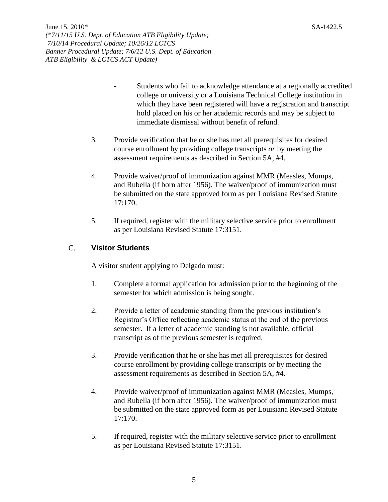- Students who fail to acknowledge attendance at a regionally accredited college or university or a Louisiana Technical College institution in which they have been registered will have a registration and transcript hold placed on his or her academic records and may be subject to immediate dismissal without benefit of refund.
- 3. Provide verification that he or she has met all prerequisites for desired course enrollment by providing college transcripts *or* by meeting the assessment requirements as described in Section 5A, #4.
- 4. Provide waiver/proof of immunization against MMR (Measles, Mumps, and Rubella (if born after 1956). The waiver/proof of immunization must be submitted on the state approved form as per Louisiana Revised Statute 17:170.
- 5. If required, register with the military selective service prior to enrollment as per Louisiana Revised Statute 17:3151.

# C. **Visitor Students**

A visitor student applying to Delgado must:

- 1. Complete a formal application for admission prior to the beginning of the semester for which admission is being sought.
- 2. Provide a letter of academic standing from the previous institution's Registrar's Office reflecting academic status at the end of the previous semester. If a letter of academic standing is not available, official transcript as of the previous semester is required.
- 3. Provide verification that he or she has met all prerequisites for desired course enrollment by providing college transcripts or by meeting the assessment requirements as described in Section 5A, #4.
- 4. Provide waiver/proof of immunization against MMR (Measles, Mumps, and Rubella (if born after 1956). The waiver/proof of immunization must be submitted on the state approved form as per Louisiana Revised Statute 17:170.
- 5. If required, register with the military selective service prior to enrollment as per Louisiana Revised Statute 17:3151.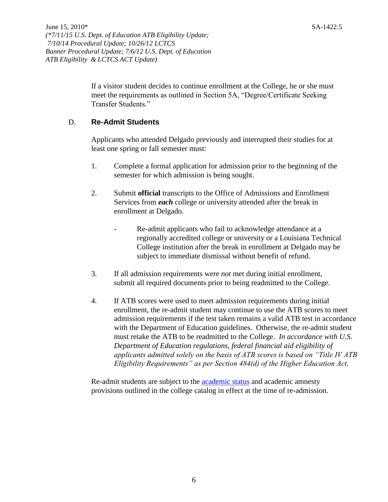If a visitor student decides to continue enrollment at the College, he or she must meet the requirements as outlined in Section 5A, "Degree/Certificate Seeking Transfer Students."

## D. **Re-Admit Students**

Applicants who attended Delgado previously and interrupted their studies for at least one spring or fall semester must:

- 1. Complete a formal application for admission prior to the beginning of the semester for which admission is being sought.
- 2. Submit **official** transcripts to the Office of Admissions and Enrollment Services from *each* college or university attended after the break in enrollment at Delgado.
	- Re-admit applicants who fail to acknowledge attendance at a regionally accredited college or university or a Louisiana Technical College institution after the break in enrollment at Delgado may be subject to immediate dismissal without benefit of refund.
- 3. If all admission requirements were *not* met during initial enrollment, submit all required documents prior to being readmitted to the College.
- 4. If ATB scores were used to meet admission requirements during initial enrollment, the re-admit student may continue to use the ATB scores to meet admission requirements if the test taken remains a valid ATB test in accordance with the Department of Education guidelines. Otherwise, the re-admit student must retake the ATB to be readmitted to the College. *In accordance with U.S. Department of Education regulations, federal financial aid eligibility of applicants admitted solely on the basis of ATB scores is based on "Title IV ATB Eligibility Requirements" as per Section 484(d) of the Higher Education Act.*

Re-admit students are subject to the [academic status](http://docushare3.dcc.edu/docushare/dsweb/Get/Document-2785/Academic+Procedures-Academic+Status-+AA+Council+Approved+Changes+April+2008.pdf) and academic amnesty provisions outlined in the college catalog in effect at the time of re-admission.